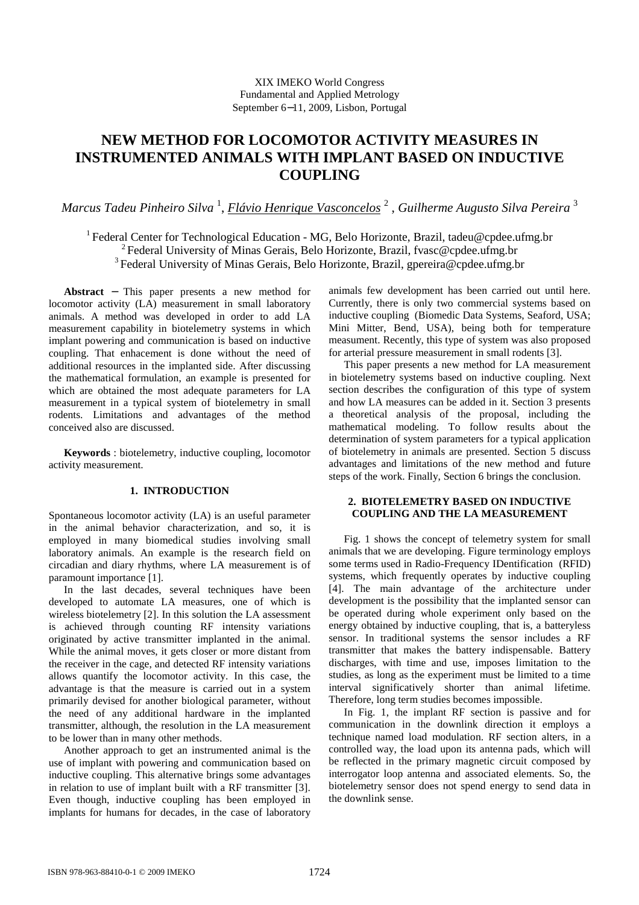# **NEW METHOD FOR LOCOMOTOR ACTIVITY MEASURES IN INSTRUMENTED ANIMALS WITH IMPLANT BASED ON INDUCTIVE COUPLING**

*Marcus Tadeu Pinheiro Silva* <sup>1</sup> , *Flávio Henrique Vasconcelos* <sup>2</sup> , *Guilherme Augusto Silva Pereira* <sup>3</sup>

<sup>1</sup> Federal Center for Technological Education - MG, Belo Horizonte, Brazil, tadeu@cpdee.ufmg.br <sup>2</sup> Federal University of Minas Gerais, Belo Horizonte, Brazil, fvasc@cpdee.ufmg.br <sup>3</sup> Federal University of Minas Gerais, Belo Horizonte, Brazil, gpereira@cpdee.ufmg.br

**Abstract** − This paper presents a new method for locomotor activity (LA) measurement in small laboratory animals. A method was developed in order to add LA measurement capability in biotelemetry systems in which implant powering and communication is based on inductive coupling. That enhacement is done without the need of additional resources in the implanted side. After discussing the mathematical formulation, an example is presented for which are obtained the most adequate parameters for LA measurement in a typical system of biotelemetry in small rodents. Limitations and advantages of the method conceived also are discussed.

**Keywords** : biotelemetry, inductive coupling, locomotor activity measurement.

# **1. INTRODUCTION**

Spontaneous locomotor activity (LA) is an useful parameter in the animal behavior characterization, and so, it is employed in many biomedical studies involving small laboratory animals. An example is the research field on circadian and diary rhythms, where LA measurement is of paramount importance [1].

In the last decades, several techniques have been developed to automate LA measures, one of which is wireless biotelemetry [2]. In this solution the LA assessment is achieved through counting RF intensity variations originated by active transmitter implanted in the animal. While the animal moves, it gets closer or more distant from the receiver in the cage, and detected RF intensity variations allows quantify the locomotor activity. In this case, the advantage is that the measure is carried out in a system primarily devised for another biological parameter, without the need of any additional hardware in the implanted transmitter, although, the resolution in the LA measurement to be lower than in many other methods.

Another approach to get an instrumented animal is the use of implant with powering and communication based on inductive coupling. This alternative brings some advantages in relation to use of implant built with a RF transmitter [3]. Even though, inductive coupling has been employed in implants for humans for decades, in the case of laboratory animals few development has been carried out until here. Currently, there is only two commercial systems based on inductive coupling (Biomedic Data Systems, Seaford, USA; Mini Mitter, Bend, USA), being both for temperature measument. Recently, this type of system was also proposed for arterial pressure measurement in small rodents [3].

This paper presents a new method for LA measurement in biotelemetry systems based on inductive coupling. Next section describes the configuration of this type of system and how LA measures can be added in it. Section 3 presents a theoretical analysis of the proposal, including the mathematical modeling. To follow results about the determination of system parameters for a typical application of biotelemetry in animals are presented. Section 5 discuss advantages and limitations of the new method and future steps of the work. Finally, Section 6 brings the conclusion.

# **2. BIOTELEMETRY BASED ON INDUCTIVE COUPLING AND THE LA MEASUREMENT**

Fig. 1 shows the concept of telemetry system for small animals that we are developing. Figure terminology employs some terms used in Radio-Frequency IDentification (RFID) systems, which frequently operates by inductive coupling [4]. The main advantage of the architecture under development is the possibility that the implanted sensor can be operated during whole experiment only based on the energy obtained by inductive coupling, that is, a batteryless sensor. In traditional systems the sensor includes a RF transmitter that makes the battery indispensable. Battery discharges, with time and use, imposes limitation to the studies, as long as the experiment must be limited to a time interval significatively shorter than animal lifetime. Therefore, long term studies becomes impossible.

In Fig. 1, the implant RF section is passive and for communication in the downlink direction it employs a technique named load modulation. RF section alters, in a controlled way, the load upon its antenna pads, which will be reflected in the primary magnetic circuit composed by interrogator loop antenna and associated elements. So, the biotelemetry sensor does not spend energy to send data in the downlink sense.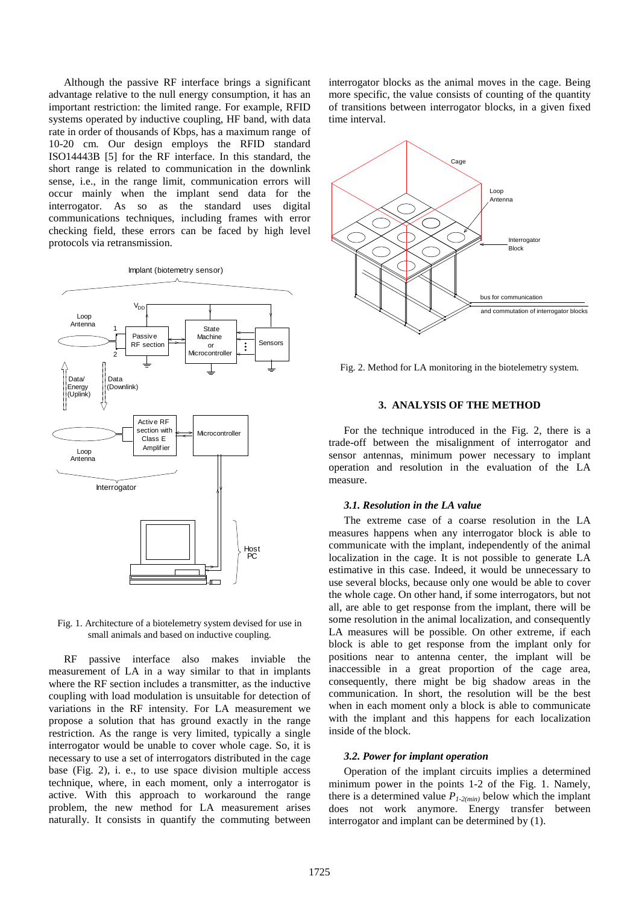Although the passive RF interface brings a significant advantage relative to the null energy consumption, it has an important restriction: the limited range. For example, RFID systems operated by inductive coupling, HF band, with data rate in order of thousands of Kbps, has a maximum range of 10-20 cm. Our design employs the RFID standard ISO14443B [5] for the RF interface. In this standard, the short range is related to communication in the downlink sense, i.e., in the range limit, communication errors will occur mainly when the implant send data for the interrogator. As so as the standard uses digital communications techniques, including frames with error checking field, these errors can be faced by high level protocols via retransmission.



Fig. 1. Architecture of a biotelemetry system devised for use in small animals and based on inductive coupling.

RF passive interface also makes inviable the measurement of LA in a way similar to that in implants where the RF section includes a transmitter, as the inductive coupling with load modulation is unsuitable for detection of variations in the RF intensity. For LA measurement we propose a solution that has ground exactly in the range restriction. As the range is very limited, typically a single interrogator would be unable to cover whole cage. So, it is necessary to use a set of interrogators distributed in the cage base (Fig. 2), i. e., to use space division multiple access technique, where, in each moment, only a interrogator is active. With this approach to workaround the range problem, the new method for LA measurement arises naturally. It consists in quantify the commuting between interrogator blocks as the animal moves in the cage. Being more specific, the value consists of counting of the quantity of transitions between interrogator blocks, in a given fixed time interval.



Fig. 2. Method for LA monitoring in the biotelemetry system.

## **3. ANALYSIS OF THE METHOD**

For the technique introduced in the Fig. 2, there is a trade-off between the misalignment of interrogator and sensor antennas, minimum power necessary to implant operation and resolution in the evaluation of the LA measure.

#### *3.1. Resolution in the LA value*

The extreme case of a coarse resolution in the LA measures happens when any interrogator block is able to communicate with the implant, independently of the animal localization in the cage. It is not possible to generate LA estimative in this case. Indeed, it would be unnecessary to use several blocks, because only one would be able to cover the whole cage. On other hand, if some interrogators, but not all, are able to get response from the implant, there will be some resolution in the animal localization, and consequently LA measures will be possible. On other extreme, if each block is able to get response from the implant only for positions near to antenna center, the implant will be inaccessible in a great proportion of the cage area, consequently, there might be big shadow areas in the communication. In short, the resolution will be the best when in each moment only a block is able to communicate with the implant and this happens for each localization inside of the block.

#### *3.2. Power for implant operation*

Operation of the implant circuits implies a determined minimum power in the points 1-2 of the Fig. 1. Namely, there is a determined value  $P_{1-2(min)}$  below which the implant does not work anymore. Energy transfer between interrogator and implant can be determined by (1).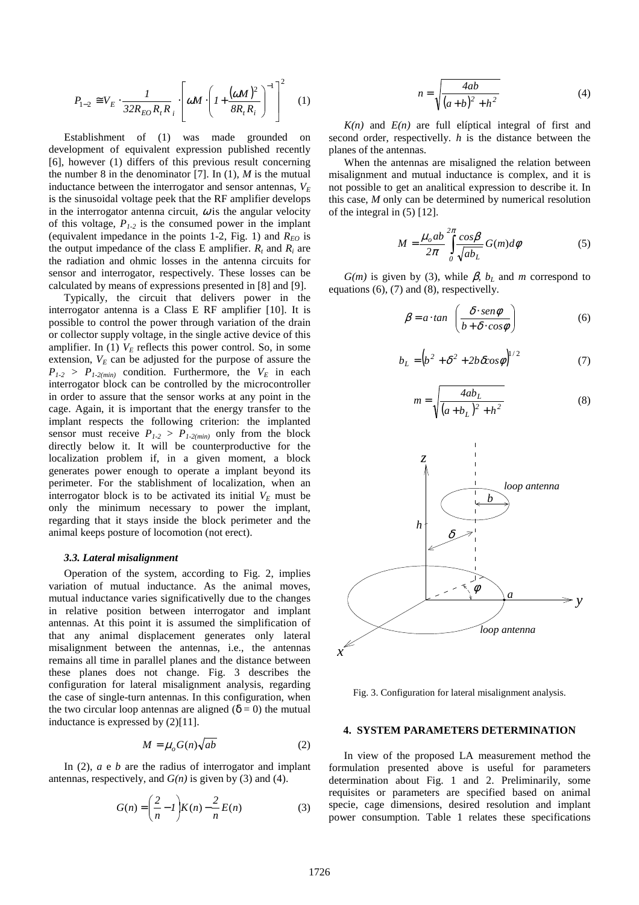$$
P_{1-2} \cong V_E \cdot \frac{1}{32R_{EO}R_tR_i} \cdot \left[\omega M \cdot \left(1 + \frac{(\omega M)^2}{8R_tR_i}\right)^{-1}\right]^2 \quad (1)
$$

Establishment of (1) was made grounded on development of equivalent expression published recently [6], however (1) differs of this previous result concerning the number 8 in the denominator [7]. In  $(1)$ , *M* is the mutual inductance between the interrogator and sensor antennas,  $V_F$ is the sinusoidal voltage peek that the RF amplifier develops in the interrogator antenna circuit,  $\omega$  is the angular velocity of this voltage, *P1-2* is the consumed power in the implant (equivalent impedance in the points 1-2, Fig. 1) and  $R_{EO}$  is the output impedance of the class E amplifier.  $R_t$  and  $R_i$  are the radiation and ohmic losses in the antenna circuits for sensor and interrogator, respectively. These losses can be calculated by means of expressions presented in [8] and [9].

Typically, the circuit that delivers power in the interrogator antenna is a Class E RF amplifier [10]. It is possible to control the power through variation of the drain or collector supply voltage, in the single active device of this amplifier. In (1)  $V_E$  reflects this power control. So, in some extension,  $V<sub>E</sub>$  can be adjusted for the purpose of assure the  $P_{1-2}$  >  $P_{1-2(min)}$  condition. Furthermore, the  $V_E$  in each interrogator block can be controlled by the microcontroller in order to assure that the sensor works at any point in the cage. Again, it is important that the energy transfer to the implant respects the following criterion: the implanted sensor must receive  $P_{1-2} > P_{1-2(min)}$  only from the block directly below it. It will be counterproductive for the localization problem if, in a given moment, a block generates power enough to operate a implant beyond its perimeter. For the stablishment of localization, when an interrogator block is to be activated its initial  $V_E$  must be only the minimum necessary to power the implant, regarding that it stays inside the block perimeter and the animal keeps posture of locomotion (not erect).

#### *3.3. Lateral misalignment*

Operation of the system, according to Fig. 2, implies variation of mutual inductance. As the animal moves, mutual inductance varies significativelly due to the changes in relative position between interrogator and implant antennas. At this point it is assumed the simplification of that any animal displacement generates only lateral misalignment between the antennas, i.e., the antennas remains all time in parallel planes and the distance between these planes does not change. Fig. 3 describes the configuration for lateral misalignment analysis, regarding the case of single-turn antennas. In this configuration, when the two circular loop antennas are aligned ( $\delta = 0$ ) the mutual inductance is expressed by (2)[11].

$$
M = \mu_o G(n) \sqrt{ab} \tag{2}
$$

In (2), *a e b* are the radius of interrogator and implant antennas, respectively, and  $G(n)$  is given by (3) and (4).

$$
G(n) = \left(\frac{2}{n} - 1\right) K(n) - \frac{2}{n} E(n) \tag{3}
$$

$$
n = \sqrt{\frac{4ab}{(a+b)^2 + h^2}}\tag{4}
$$

 $K(n)$  and  $E(n)$  are full elíptical integral of first and second order, respectivelly. *h* is the distance between the planes of the antennas.

When the antennas are misaligned the relation between misalignment and mutual inductance is complex, and it is not possible to get an analitical expression to describe it. In this case, *M* only can be determined by numerical resolution of the integral in (5) [12].

$$
M = \frac{\mu_o ab}{2\pi} \int_{0}^{2\pi} \frac{\cos\beta}{\sqrt{ab_L}} G(m) d\phi
$$
 (5)

*G(m)* is given by (3), while  $\beta$ ,  $b_L$  and *m* correspond to equations (6), (7) and (8), respectivelly.

$$
\beta = a \cdot \tan \left( \frac{\delta \cdot \text{sen}\phi}{b + \delta \cdot \text{cos}\phi} \right) \tag{6}
$$

$$
b_L = \left(b^2 + \delta^2 + 2b\,\delta\cos\phi\right)^{1/2} \tag{7}
$$

$$
m = \sqrt{\frac{4ab_L}{(a+b_L)^2 + h^2}}
$$
 (8)



Fig. 3. Configuration for lateral misalignment analysis.

#### **4. SYSTEM PARAMETERS DETERMINATION**

In view of the proposed LA measurement method the formulation presented above is useful for parameters determination about Fig. 1 and 2. Preliminarily, some requisites or parameters are specified based on animal specie, cage dimensions, desired resolution and implant power consumption. Table 1 relates these specifications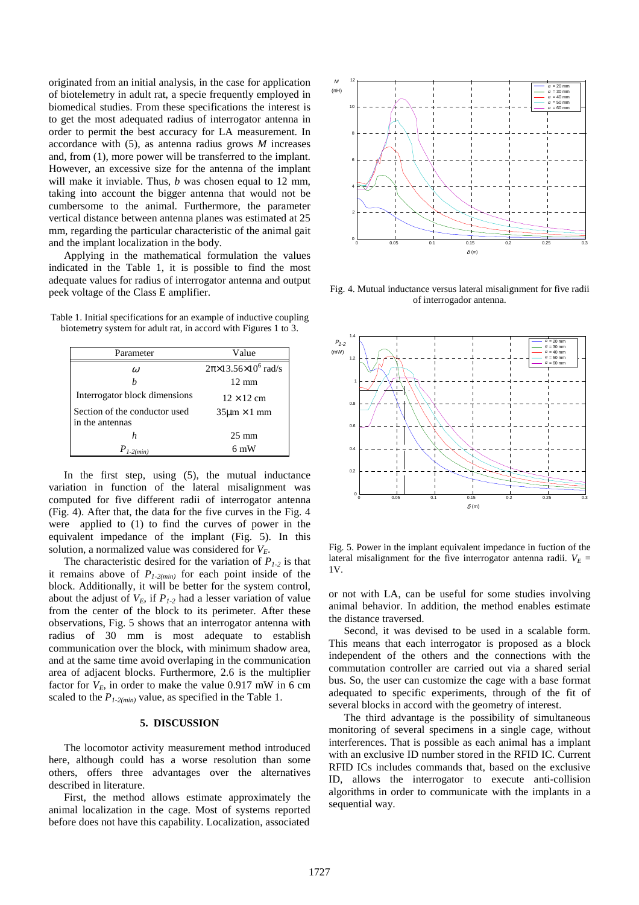originated from an initial analysis, in the case for application of biotelemetry in adult rat, a specie frequently employed in biomedical studies. From these specifications the interest is to get the most adequated radius of interrogator antenna in order to permit the best accuracy for LA measurement. In accordance with (5), as antenna radius grows *M* increases and, from (1), more power will be transferred to the implant. However, an excessive size for the antenna of the implant will make it inviable. Thus, *b* was chosen equal to 12 mm, taking into account the bigger antenna that would not be cumbersome to the animal. Furthermore, the parameter vertical distance between antenna planes was estimated at 25 mm, regarding the particular characteristic of the animal gait and the implant localization in the body.

Applying in the mathematical formulation the values indicated in the Table 1, it is possible to find the most adequate values for radius of interrogator antenna and output peek voltage of the Class E amplifier.

Table 1. Initial specifications for an example of inductive coupling biotemetry system for adult rat, in accord with Figures 1 to 3.

| Parameter                                        | Value                                 |
|--------------------------------------------------|---------------------------------------|
| $\omega$                                         | $2\pi \times 13.56 \times 10^6$ rad/s |
| h                                                | $12 \text{ mm}$                       |
| Interrogator block dimensions                    | $12 \times 12$ cm                     |
| Section of the conductor used<br>in the antennas | $35 \mu m \times 1$ mm                |
| h                                                | $25 \text{ mm}$                       |
| $-2(min)$                                        | 6 mW                                  |

In the first step, using (5), the mutual inductance variation in function of the lateral misalignment was computed for five different radii of interrogator antenna (Fig. 4). After that, the data for the five curves in the Fig. 4 were applied to (1) to find the curves of power in the equivalent impedance of the implant (Fig. 5). In this solution, a normalized value was considered for  $V_F$ .

The characteristic desired for the variation of  $P_{1-2}$  is that it remains above of  $P_{1-2(min)}$  for each point inside of the block. Additionally, it will be better for the system control, about the adjust of  $V_E$ , if  $P_{1-2}$  had a lesser variation of value from the center of the block to its perimeter. After these observations, Fig. 5 shows that an interrogator antenna with radius of 30 mm is most adequate to establish communication over the block, with minimum shadow area, and at the same time avoid overlaping in the communication area of adjacent blocks. Furthermore, 2.6 is the multiplier factor for  $V_E$ , in order to make the value 0.917 mW in 6 cm scaled to the *P1-2(min)* value, as specified in the Table 1.

#### **5. DISCUSSION**

The locomotor activity measurement method introduced here, although could has a worse resolution than some others, offers three advantages over the alternatives described in literature.

First, the method allows estimate approximately the animal localization in the cage. Most of systems reported before does not have this capability. Localization, associated



Fig. 4. Mutual inductance versus lateral misalignment for five radii of interrogador antenna.



Fig. 5. Power in the implant equivalent impedance in fuction of the lateral misalignment for the five interrogator antenna radii.  $V_E =$ 1V.

or not with LA, can be useful for some studies involving animal behavior. In addition, the method enables estimate the distance traversed.

Second, it was devised to be used in a scalable form. This means that each interrogator is proposed as a block independent of the others and the connections with the commutation controller are carried out via a shared serial bus. So, the user can customize the cage with a base format adequated to specific experiments, through of the fit of several blocks in accord with the geometry of interest.

The third advantage is the possibility of simultaneous monitoring of several specimens in a single cage, without interferences. That is possible as each animal has a implant with an exclusive ID number stored in the RFID IC. Current RFID ICs includes commands that, based on the exclusive ID, allows the interrogator to execute anti-collision algorithms in order to communicate with the implants in a sequential way.